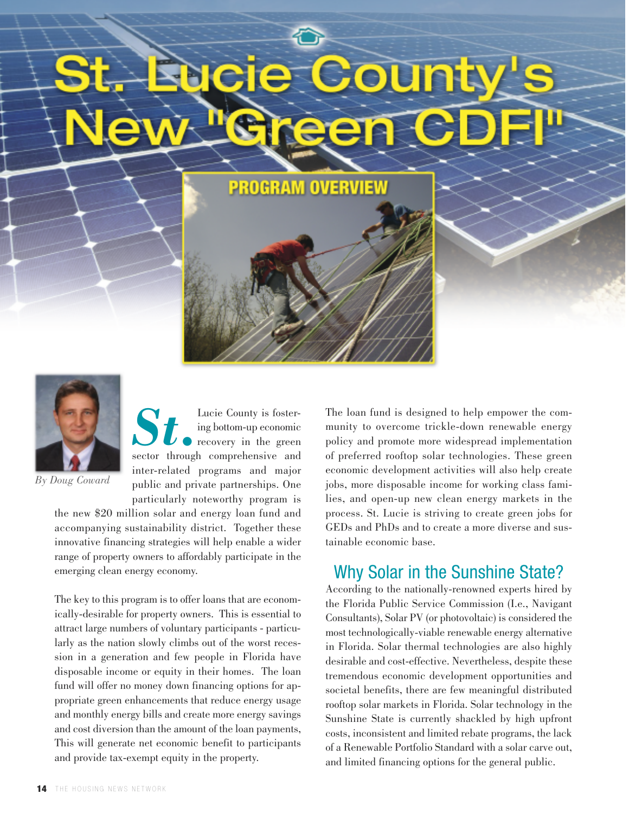**PROGRAM OVERVIEW** 



*By Doug Coward*

*St.* Lucie County is fostering bottom-up economic recovery in the green sector through comprehensive and inter-related programs and major public and private partnerships. One particularly noteworthy program is

the new \$20 million solar and energy loan fund and accompanying sustainability district. Together these innovative financing strategies will help enable a wider range of property owners to affordably participate in the emerging clean energy economy.

The key to this program is to offer loans that are economically-desirable for property owners. This is essential to attract large numbers of voluntary participants - particularly as the nation slowly climbs out of the worst recession in a generation and few people in Florida have disposable income or equity in their homes. The loan fund will offer no money down financing options for appropriate green enhancements that reduce energy usage and monthly energy bills and create more energy savings and cost diversion than the amount of the loan payments, This will generate net economic benefit to participants and provide tax-exempt equity in the property.

The loan fund is designed to help empower the community to overcome trickle-down renewable energy policy and promote more widespread implementation of preferred rooftop solar technologies. These green economic development activities will also help create jobs, more disposable income for working class families, and open-up new clean energy markets in the process. St. Lucie is striving to create green jobs for GEDs and PhDs and to create a more diverse and sustainable economic base.

# Why Solar in the Sunshine State?

According to the nationally-renowned experts hired by the Florida Public Service Commission (I.e., Navigant Consultants), Solar PV (or photovoltaic) is considered the most technologically-viable renewable energy alternative in Florida. Solar thermal technologies are also highly desirable and cost-effective. Nevertheless, despite these tremendous economic development opportunities and societal benefits, there are few meaningful distributed rooftop solar markets in Florida. Solar technology in the Sunshine State is currently shackled by high upfront costs, inconsistent and limited rebate programs, the lack of a Renewable Portfolio Standard with a solar carve out, and limited financing options for the general public.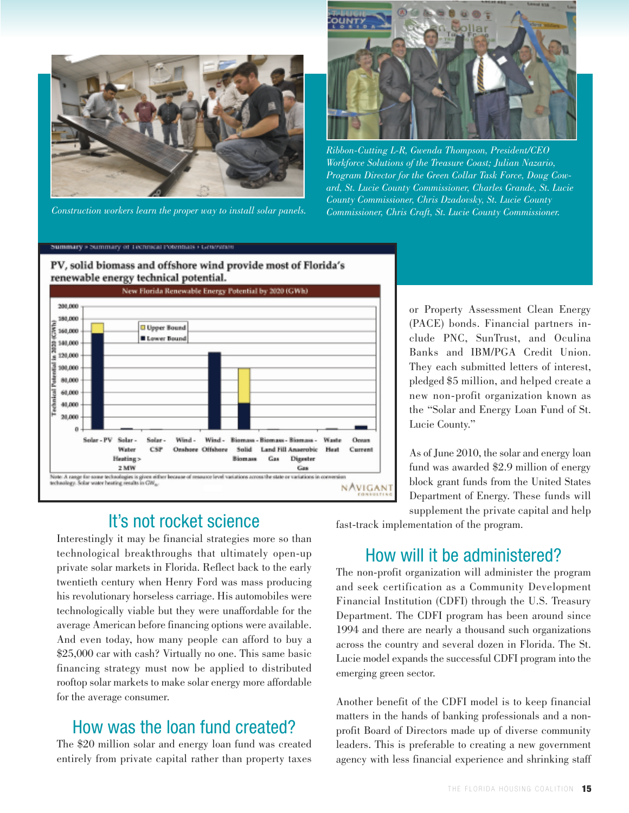



*Ribbon-Cutting L-R, Gwenda Thompson, President/CEO Workforce Solutions of the Treasure Coast; Julian Nazario, Program Director for the Green Collar Task Force, Doug Coward, St. Lucie County Commissioner, Charles Grande, St. Lucie County Commissioner, Chris Dzadovsky, St. Lucie County* Construction workers learn the proper way to install solar panels. Commissioner, Chris Craft, St. Lucie County Commissioner.

#### Summary > Summary of Technical Potentials > Generation



#### PV, solid biomass and offshore wind provide most of Florida's renewable energy technical potential.

## It's not rocket science

Interestingly it may be financial strategies more so than technological breakthroughs that ultimately open-up private solar markets in Florida. Reflect back to the early twentieth century when Henry Ford was mass producing his revolutionary horseless carriage. His automobiles were technologically viable but they were unaffordable for the average American before financing options were available. And even today, how many people can afford to buy a \$25,000 car with cash? Virtually no one. This same basic financing strategy must now be applied to distributed rooftop solar markets to make solar energy more affordable for the average consumer.

## How was the loan fund created?

The \$20 million solar and energy loan fund was created entirely from private capital rather than property taxes or Property Assessment Clean Energy (PACE) bonds. Financial partners include PNC, SunTrust, and Oculina Banks and IBM/PGA Credit Union. They each submitted letters of interest, pledged \$5 million, and helped create a new non-profit organization known as the "Solar and Energy Loan Fund of St. Lucie County."

As of June 2010, the solar and energy loan fund was awarded \$2.9 million of energy block grant funds from the United States Department of Energy. These funds will supplement the private capital and help

fast-track implementation of the program.

### How will it be administered?

The non-profit organization will administer the program and seek certification as a Community Development Financial Institution (CDFI) through the U.S. Treasury Department. The CDFI program has been around since 1994 and there are nearly a thousand such organizations across the country and several dozen in Florida. The St. Lucie model expands the successful CDFI program into the emerging green sector.

Another benefit of the CDFI model is to keep financial matters in the hands of banking professionals and a nonprofit Board of Directors made up of diverse community leaders. This is preferable to creating a new government agency with less financial experience and shrinking staff